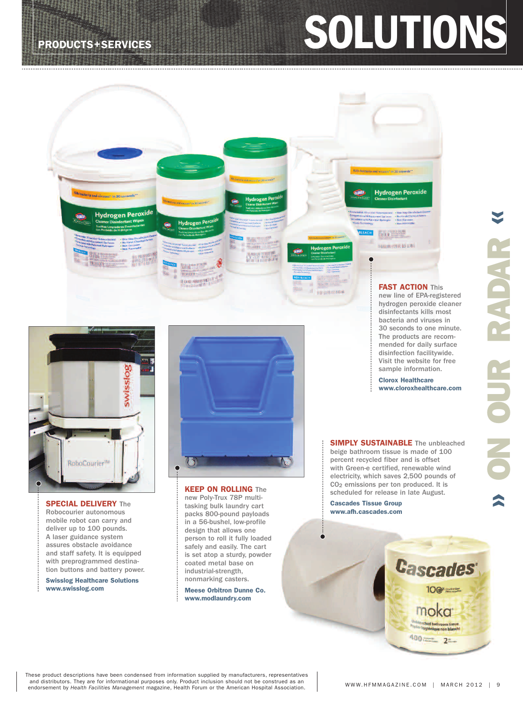# **PRODUCTS+SERVICES SOLUTIONS**



Hydrogen Peroxid<sup>e</sup>

**SPECIAL DELIVERY** The Robocourier autonomous mobile robot can carry and deliver up to 100 pounds. A laser guidance system assures obstacle avoidance and staff safety. It is equipped with preprogrammed destination buttons and battery power.

**Swisslog Healthcare Solutions www.swisslog.com**



**KEEP ON ROLLING** The new Poly-Trux 78P multitasking bulk laundry cart packs 800-pound payloads in a 56-bushel, low-profile design that allows one person to roll it fully loaded safely and easily. The cart is set atop a sturdy, powder coated metal base on industrial-strength, nonmarking casters.

**Meese Orbitron Dunne Co. www.modlaundry.com**

**SIMPLY SUSTAINABLE** The unbleached beige bathroom tissue is made of 100 percent recycled fiber and is offset with Green-e certified, renewable wind electricity, which saves 2,500 pounds of CO<sub>2</sub> emissions per ton produced. It is scheduled for release in late August.

**FAST ACTION** This new line of EPA-registered hydrogen peroxide cleaner disinfectants kills most bacteria and viruses in 30 seconds to one minute. The products are recommended for daily surface disinfection facilitywide. Visit the website for free sample information. **Clorox Healthcare www.cloroxhealthcare.com**

and viruses" in 30 s

**Hydrogen Peroxide** 

**CALITOR** | GALLON (128 FL 07) 3:79 |

or (32H 02) 946 ml

**Cascades Tissue Group www.afh.cascades.com**

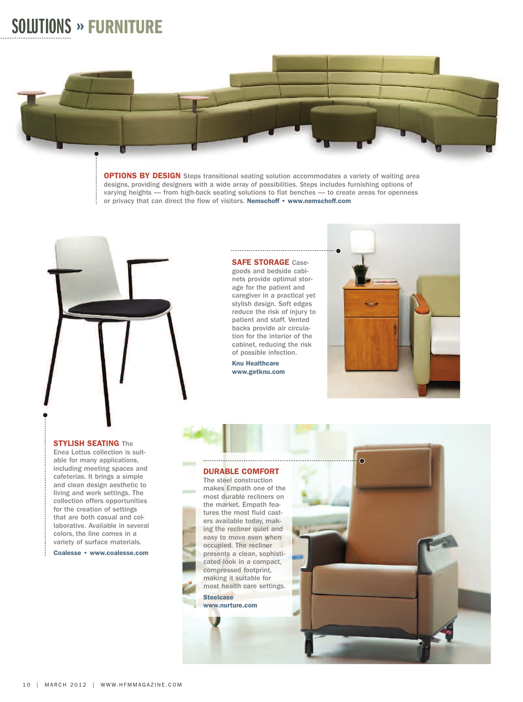## **SOLUTIONS » FURNITURE**



**OPTIONS BY DESIGN** Steps transitional seating solution accommodates a variety of waiting area designs, providing designers with a wide array of possibilities. Steps includes furnishing options of varying heights — from high-back seating solutions to flat benches — to create areas for openness or privacy that can direct the flow of visitors. **Nemschoff • www.nemschoff.com**



**STYLISH SEATING** The

Enea Lottus collection is suitable for many applications, including meeting spaces and cafeterias. It brings a simple and clean design aesthetic to living and work settings. The collection offers opportunities for the creation of settings that are both casual and collaborative. Available in several colors, the line comes in a variety of surface materials.

**Coalesse • www.coalesse.com**

Ť

#### **SAFE STORAGE** Casegoods and bedside cabinets provide optimal storage for the patient and caregiver in a practical yet stylish design. Soft edges reduce the risk of injury to patient and staff. Vented backs provide air circulation for the interior of the cabinet, reducing the risk

of possible infection. **Knu Healthcare www.getknu.com**



#### **DURABLE COMFORT**

The steel construction makes Empath one of the most durable recliners on the market. Empath features the most fluid casters available today, making the recliner quiet and easy to move even when occupied. The recliner presents a clean, sophisticated look in a compact, compressed footprint, making it suitable for most health care settings.

**Steelcase www.nurture.com**